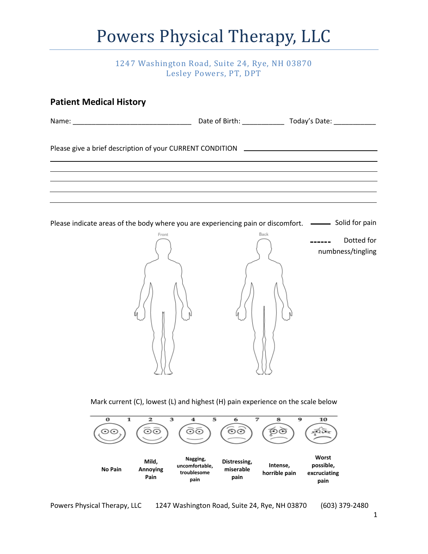### Powers Physical Therapy, LLC

#### 1247 Washington Road, Suite 24, Rye, NH 03870 Lesley Powers, PT, DPT

| <b>Patient Medical History</b>                                                                                                        |                                                                                                                                                                                                                   |                           |                                |                   |
|---------------------------------------------------------------------------------------------------------------------------------------|-------------------------------------------------------------------------------------------------------------------------------------------------------------------------------------------------------------------|---------------------------|--------------------------------|-------------------|
|                                                                                                                                       |                                                                                                                                                                                                                   |                           |                                |                   |
| Please give a brief description of your CURRENT CONDITION [198] [198] [198] Please give a brief description of your CURRENT CONDITION | ,我们也不会有什么。""我们的人,我们也不会有什么?""我们的人,我们也不会有什么?""我们的人,我们也不会有什么?""我们的人,我们也不会有什么?""我们的人<br>,我们也不能在这里的时候,我们也不能在这里的时候,我们也不能会在这里的时候,我们也不能会在这里的时候,我们也不能会在这里的时候,我们也不能会在这里的时候,我们也                                              |                           |                                |                   |
| Please indicate areas of the body where you are experiencing pain or discomfort. -- Solid for pain                                    | ,我们也不会有什么。""我们的人,我们也不会有什么?""我们的人,我们也不会有什么?""我们的人,我们也不会有什么?""我们的人,我们也不会有什么?""我们的人<br><u> 1989 - Andrea Santa Andrea Andrea Santa Andrea Andrea Andrea Andrea Andrea Andrea Andrea Andrea Andrea Andre</u><br>Front | Back                      |                                | Dotted for        |
|                                                                                                                                       |                                                                                                                                                                                                                   |                           |                                | numbness/tingling |
| 1<br>0<br>⊙⊙                                                                                                                          | Mark current (C), lowest (L) and highest (H) pain experience on the scale below<br>2<br>з<br>4<br>ධල<br>මග                                                                                                        | 5<br>6<br>7<br>⊙⊙         | 9<br>10<br>8<br>නල             |                   |
| No Dair                                                                                                                               | Nagging,<br>Mild,<br>uncomfortable,<br>$\mathbf{A}$ nnouing                                                                                                                                                       | Distressing,<br>micoroblo | Worst<br>possible,<br>Intense, |                   |

**miserable pain**

**horrible pain**

**excruciating pain**

**troublesome pain**

 **No Pain**

**Annoying Pain**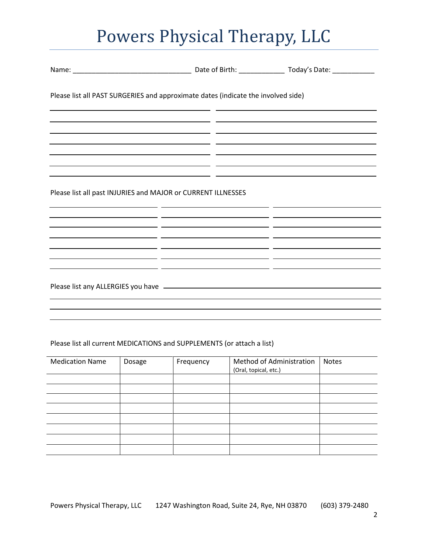# Powers Physical Therapy, LLC

| Please list all PAST SURGERIES and approximate dates (indicate the involved side) |                                                                                                                                                                                                                              |  |
|-----------------------------------------------------------------------------------|------------------------------------------------------------------------------------------------------------------------------------------------------------------------------------------------------------------------------|--|
|                                                                                   |                                                                                                                                                                                                                              |  |
|                                                                                   |                                                                                                                                                                                                                              |  |
| Please list all past INJURIES and MAJOR or CURRENT ILLNESSES                      |                                                                                                                                                                                                                              |  |
|                                                                                   |                                                                                                                                                                                                                              |  |
| the contract of the contract of the contract of the contract of                   | the control of the control of the control of the control of the control of the control of<br>the contract of the contract of the contract of the contract of the contract of<br><u> 1989 - Andrea Andrew Maria (b. 1989)</u> |  |
|                                                                                   |                                                                                                                                                                                                                              |  |
|                                                                                   |                                                                                                                                                                                                                              |  |

#### Please list all current MEDICATIONS and SUPPLEMENTS (or attach a list)

| <b>Medication Name</b> | Dosage | Frequency | Method of Administration<br>(Oral, topical, etc.) | <b>Notes</b> |
|------------------------|--------|-----------|---------------------------------------------------|--------------|
|                        |        |           |                                                   |              |
|                        |        |           |                                                   |              |
|                        |        |           |                                                   |              |
|                        |        |           |                                                   |              |
|                        |        |           |                                                   |              |
|                        |        |           |                                                   |              |
|                        |        |           |                                                   |              |
|                        |        |           |                                                   |              |